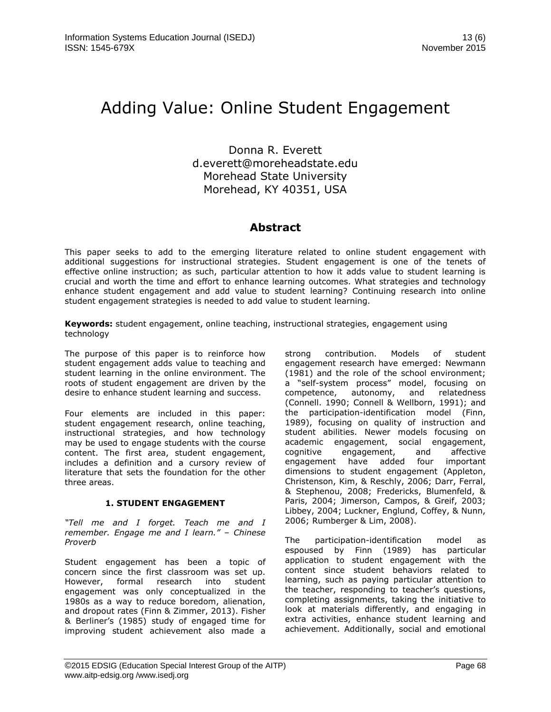# Adding Value: Online Student Engagement

Donna R. Everett d.everett@moreheadstate.edu Morehead State University Morehead, KY 40351, USA

# **Abstract**

This paper seeks to add to the emerging literature related to online student engagement with additional suggestions for instructional strategies. Student engagement is one of the tenets of effective online instruction; as such, particular attention to how it adds value to student learning is crucial and worth the time and effort to enhance learning outcomes. What strategies and technology enhance student engagement and add value to student learning? Continuing research into online student engagement strategies is needed to add value to student learning.

**Keywords:** student engagement, online teaching, instructional strategies, engagement using technology

The purpose of this paper is to reinforce how student engagement adds value to teaching and student learning in the online environment. The roots of student engagement are driven by the desire to enhance student learning and success.

Four elements are included in this paper: student engagement research, online teaching, instructional strategies, and how technology may be used to engage students with the course content. The first area, student engagement, includes a definition and a cursory review of literature that sets the foundation for the other three areas.

# **1. STUDENT ENGAGEMENT**

*"Tell me and I forget. Teach me and I remember. Engage me and I learn." – Chinese Proverb*

Student engagement has been a topic of concern since the first classroom was set up. However, formal research into student engagement was only conceptualized in the 1980s as a way to reduce boredom, alienation, and dropout rates (Finn & Zimmer, 2013). Fisher & Berliner's (1985) study of engaged time for improving student achievement also made a strong contribution. Models of student engagement research have emerged: Newmann (1981) and the role of the school environment; a "self-system process" model, focusing on competence, autonomy, and relatedness (Connell. 1990; Connell & Wellborn, 1991); and the participation-identification model (Finn, 1989), focusing on quality of instruction and student abilities. Newer models focusing on academic engagement, social engagement,<br>cognitive engagement, and affective cognitive engagement, and engagement have added four important dimensions to student engagement (Appleton, Christenson, Kim, & Reschly, 2006; Darr, Ferral, & Stephenou, 2008; Fredericks, Blumenfeld, & Paris, 2004; Jimerson, Campos, & Greif, 2003; Libbey, 2004; Luckner, Englund, Coffey, & Nunn, 2006; Rumberger & Lim, 2008).

The participation-identification model as espoused by Finn (1989) has particular application to student engagement with the content since student behaviors related to learning, such as paying particular attention to the teacher, responding to teacher's questions, completing assignments, taking the initiative to look at materials differently, and engaging in extra activities, enhance student learning and achievement. Additionally, social and emotional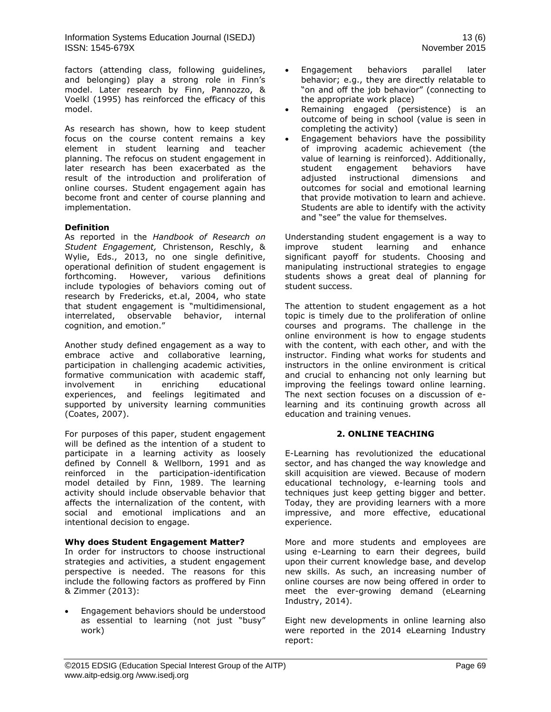factors (attending class, following guidelines, and belonging) play a strong role in Finn's model. Later research by Finn, Pannozzo, & Voelkl (1995) has reinforced the efficacy of this model.

As research has shown, how to keep student focus on the course content remains a key element in student learning and teacher planning. The refocus on student engagement in later research has been exacerbated as the result of the introduction and proliferation of online courses. Student engagement again has become front and center of course planning and implementation.

#### **Definition**

As reported in the *Handbook of Research on Student Engagement,* Christenson, Reschly, & Wylie, Eds., 2013, no one single definitive, operational definition of student engagement is forthcoming. However, various definitions include typologies of behaviors coming out of research by Fredericks, et.al, 2004, who state that student engagement is "multidimensional, interrelated, observable behavior, internal cognition, and emotion."

Another study defined engagement as a way to embrace active and collaborative learning, participation in challenging academic activities, formative communication with academic staff, involvement in enriching educational experiences, and feelings legitimated and supported by university learning communities (Coates, 2007).

For purposes of this paper, student engagement will be defined as the intention of a student to participate in a learning activity as loosely defined by Connell & Wellborn, 1991 and as reinforced in the participation-identification model detailed by Finn, 1989. The learning activity should include observable behavior that affects the internalization of the content, with social and emotional implications and an intentional decision to engage.

#### **Why does Student Engagement Matter?**

In order for instructors to choose instructional strategies and activities, a student engagement perspective is needed. The reasons for this include the following factors as proffered by Finn & Zimmer (2013):

 Engagement behaviors should be understood as essential to learning (not just "busy" work)

- Engagement behaviors parallel later behavior; e.g., they are directly relatable to "on and off the job behavior" (connecting to the appropriate work place)
- Remaining engaged (persistence) is an outcome of being in school (value is seen in completing the activity)
- Engagement behaviors have the possibility of improving academic achievement (the value of learning is reinforced). Additionally, student engagement behaviors have adjusted instructional dimensions and outcomes for social and emotional learning that provide motivation to learn and achieve. Students are able to identify with the activity and "see" the value for themselves.

Understanding student engagement is a way to improve student learning and enhance significant payoff for students. Choosing and manipulating instructional strategies to engage students shows a great deal of planning for student success.

The attention to student engagement as a hot topic is timely due to the proliferation of online courses and programs. The challenge in the online environment is how to engage students with the content, with each other, and with the instructor. Finding what works for students and instructors in the online environment is critical and crucial to enhancing not only learning but improving the feelings toward online learning. The next section focuses on a discussion of elearning and its continuing growth across all education and training venues.

#### **2. ONLINE TEACHING**

E-Learning has revolutionized the educational sector, and has changed the way knowledge and skill acquisition are viewed. Because of modern educational technology, e-learning tools and techniques just keep getting bigger and better. Today, they are providing learners with a more impressive, and more effective, educational experience.

More and more students and employees are using e-Learning to earn their degrees, build upon their current knowledge base, and develop new skills. As such, an increasing number of online courses are now being offered in order to meet the ever-growing demand (eLearning Industry, 2014).

Eight new developments in online learning also were reported in the 2014 eLearning Industry report: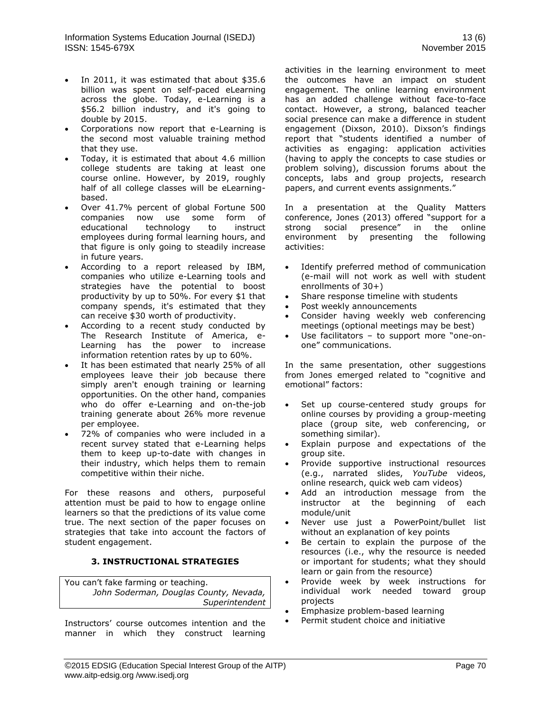- In 2011, it was estimated that about \$35.6 billion was spent on self-paced eLearning across the globe. Today, e-Learning is a \$56.2 billion industry, and it's going to double by 2015.
- Corporations now report that e-Learning is the second most valuable training method that they use.
- Today, it is estimated that about 4.6 million college students are taking at least one course online. However, by 2019, roughly half of all college classes will be eLearningbased.
- Over 41.7% percent of global Fortune 500 companies now use some form of<br>educational technology to instruct technology to instruct employees during formal learning hours, and that figure is only going to steadily increase in future years.
- According to a report released by IBM, companies who utilize e-Learning tools and strategies have the potential to boost productivity by up to 50%. For every \$1 that company spends, it's estimated that they can receive \$30 worth of productivity.
- According to a recent study conducted by The Research Institute of America, e-Learning has the power to increase information retention rates by up to 60%.
- It has been estimated that nearly 25% of all employees leave their job because there simply aren't enough training or learning opportunities. On the other hand, companies who do offer e-Learning and on-the-job training generate about 26% more revenue per employee.
- 72% of companies who were included in a recent survey stated that e-Learning helps them to keep up-to-date with changes in their industry, which helps them to remain competitive within their niche.

For these reasons and others, purposeful attention must be paid to how to engage online learners so that the predictions of its value come true. The next section of the paper focuses on strategies that take into account the factors of student engagement.

# **3. INSTRUCTIONAL STRATEGIES**

You can't fake farming or teaching. *John Soderman, Douglas County, Nevada, Superintendent*

Instructors' course outcomes intention and the manner in which they construct learning activities in the learning environment to meet the outcomes have an impact on student engagement. The online learning environment has an added challenge without face-to-face contact. However, a strong, balanced teacher social presence can make a difference in student engagement (Dixson, 2010). Dixson's findings report that "students identified a number of activities as engaging: application activities (having to apply the concepts to case studies or problem solving), discussion forums about the concepts, labs and group projects, research papers, and current events assignments."

In a presentation at the Quality Matters conference, Jones (2013) offered "support for a strong social presence" in the online environment by presenting the following activities:

- Identify preferred method of communication (e-mail will not work as well with student enrollments of 30+)
- Share response timeline with students
- Post weekly announcements
- Consider having weekly web conferencing meetings (optional meetings may be best)
- Use facilitators to support more "one-onone" communications.

In the same presentation, other suggestions from Jones emerged related to "cognitive and emotional" factors:

- Set up course-centered study groups for online courses by providing a group-meeting place (group site, web conferencing, or something similar).
- Explain purpose and expectations of the group site.
- Provide supportive instructional resources (e.g., narrated slides, *YouTube* videos, online research, quick web cam videos)
- Add an introduction message from the instructor at the beginning of each module/unit
- Never use just a PowerPoint/bullet list without an explanation of key points
- Be certain to explain the purpose of the resources (i.e., why the resource is needed or important for students; what they should learn or gain from the resource)
- Provide week by week instructions for individual work needed toward group projects
- Emphasize problem-based learning
- Permit student choice and initiative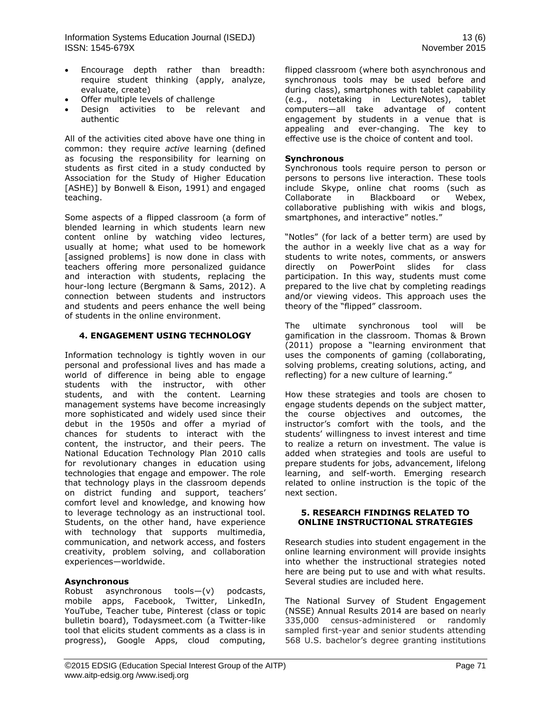- Encourage depth rather than breadth: require student thinking (apply, analyze, evaluate, create)
- Offer multiple levels of challenge
- Design activities to be relevant and authentic

All of the activities cited above have one thing in common: they require *active* learning (defined as focusing the responsibility for learning on students as first cited in a study conducted by Association for the Study of Higher Education [ASHE)] by Bonwell & Eison, 1991) and engaged teaching.

Some aspects of a flipped classroom (a form of [blended learning](http://en.wikipedia.org/wiki/Blended_learning) in which students learn new content online by watching video lectures, usually at home; what used to be homework [assigned problems] is now done in class with teachers offering more personalized guidance and interaction with students, replacing the hour-long lecture (Bergmann & Sams, 2012). A connection between students and instructors and students and peers enhance the well being of students in the online environment.

#### **4. ENGAGEMENT USING TECHNOLOGY**

Information technology is tightly woven in our personal and professional lives and has made a world of difference in being able to engage students with the instructor, with other students, and with the content. Learning management systems have become increasingly more sophisticated and widely used since their debut in the 1950s and offer a myriad of chances for students to interact with the content, the instructor, and their peers. The National Education Technology Plan 2010 calls for revolutionary changes in education using technologies that engage and empower. The role that technology plays in the classroom depends on district funding and support, teachers' comfort level and knowledge, and knowing how to leverage technology as an instructional tool. Students, on the other hand, have experience with technology that supports multimedia, communication, and network access, and fosters creativity, problem solving, and collaboration experiences—worldwide.

#### **Asynchronous**

Robust asynchronous tools—(v) podcasts, mobile apps, Facebook, Twitter, LinkedIn, YouTube, Teacher tube, Pinterest (class or topic bulletin board), Todaysmeet.com (a Twitter-like tool that elicits student comments as a class is in progress), Google Apps, cloud computing,

flipped classroom (where both asynchronous and synchronous tools may be used before and during class), smartphones with tablet capability (e.g., notetaking in LectureNotes), tablet computers—all take advantage of content engagement by students in a venue that is appealing and ever-changing. The key to effective use is the choice of content and tool.

#### **Synchronous**

Synchronous tools require person to person or persons to persons live interaction. These tools include Skype, online chat rooms (such as Collaborate in Blackboard or Webex, collaborative publishing with wikis and blogs, smartphones, and interactive" notles."

"Notles" (for lack of a better term) are used by the author in a weekly live chat as a way for students to write notes, comments, or answers directly on PowerPoint slides for class participation. In this way, students must come prepared to the live chat by completing readings and/or viewing videos. This approach uses the theory of the "flipped" classroom.

The ultimate synchronous tool will be gamification in the classroom. Thomas & Brown (2011) propose a "learning environment that uses the components of gaming (collaborating, solving problems, creating solutions, acting, and reflecting) for a new culture of learning."

How these strategies and tools are chosen to engage students depends on the subject matter, the course objectives and outcomes, the instructor's comfort with the tools, and the students' willingness to invest interest and time to realize a return on investment. The value is added when strategies and tools are useful to prepare students for jobs, advancement, lifelong learning, and self-worth. Emerging research related to online instruction is the topic of the next section.

#### **5. RESEARCH FINDINGS RELATED TO ONLINE INSTRUCTIONAL STRATEGIES**

Research studies into student engagement in the online learning environment will provide insights into whether the instructional strategies noted here are being put to use and with what results. Several studies are included here.

The National Survey of Student Engagement (NSSE) Annual Results 2014 are based on nearly 335,000 census-administered or randomly sampled first-year and senior students attending 568 U.S. bachelor's degree granting institutions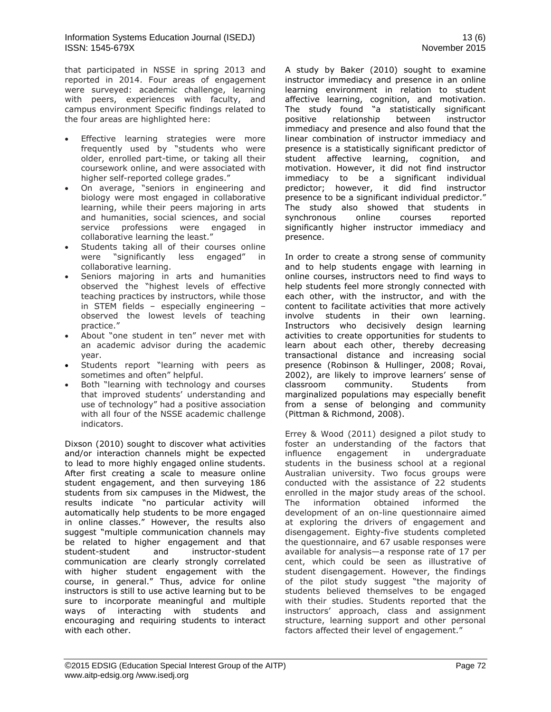that participated in NSSE in spring 2013 and reported in 2014. Four areas of engagement were surveyed: academic challenge, learning with peers, experiences with faculty, and campus environment Specific findings related to the four areas are highlighted here:

- Effective learning strategies were more frequently used by "students who were older, enrolled part-time, or taking all their coursework online, and were associated with higher self-reported college grades."
- On average, "seniors in engineering and biology were most engaged in collaborative learning, while their peers majoring in arts and humanities, social sciences, and social service professions were engaged in collaborative learning the least."
- Students taking all of their courses online were "significantly less engaged" in collaborative learning.
- Seniors majoring in arts and humanities observed the "highest levels of effective teaching practices by instructors, while those in STEM fields – especially engineering – observed the lowest levels of teaching practice."
- About "one student in ten" never met with an academic advisor during the academic year.
- Students report "learning with peers as sometimes and often" helpful.
- Both "learning with technology and courses that improved students' understanding and use of technology" had a positive association with all four of the NSSE academic challenge indicators.

Dixson (2010) sought to discover what activities and/or interaction channels might be expected to lead to more highly engaged online students. After first creating a scale to measure online student engagement, and then surveying 186 students from six campuses in the Midwest, the results indicate "no particular activity will automatically help students to be more engaged in online classes." However, the results also suggest "multiple communication channels may be related to higher engagement and that student-student and instructor-student communication are clearly strongly correlated with higher student engagement with the course, in general." Thus, advice for online instructors is still to use active learning but to be sure to incorporate meaningful and multiple ways of interacting with students and encouraging and requiring students to interact with each other.

A study by Baker (2010) sought to examine instructor immediacy and presence in an online learning environment in relation to student affective learning, cognition, and motivation. The study found "a statistically significant positive relationship between instructor immediacy and presence and also found that the linear combination of instructor immediacy and presence is a statistically significant predictor of student affective learning, cognition, and motivation. However, it did not find instructor immediacy to be a significant individual predictor; however, it did find instructor presence to be a significant individual predictor." The study also showed that students in synchronous online courses reported significantly higher instructor immediacy and presence.

In order to create a strong sense of community and to help students engage with learning in online courses, instructors need to find ways to help students feel more strongly connected with each other, with the instructor, and with the content to facilitate activities that more actively involve students in their own learning. Instructors who decisively design learning activities to create opportunities for students to learn about each other, thereby decreasing transactional distance and increasing social presence (Robinson & Hullinger, 2008; Rovai, 2002), are likely to improve learners' sense of classroom community. Students from marginalized populations may especially benefit from a sense of belonging and community (Pittman & Richmond, 2008).

Errey & Wood (2011) designed a pilot study to foster an understanding of the factors that influence engagement in undergraduate students in the business school at a regional Australian university. Two focus groups were conducted with the assistance of 22 students enrolled in the major study areas of the school. The information obtained informed the development of an on-line questionnaire aimed at exploring the drivers of engagement and disengagement. Eighty-five students completed the questionnaire, and 67 usable responses were available for analysis—a response rate of 17 per cent, which could be seen as illustrative of student disengagement. However, the findings of the pilot study suggest "the majority of students believed themselves to be engaged with their studies. Students reported that the instructors' approach, class and assignment structure, learning support and other personal factors affected their level of engagement."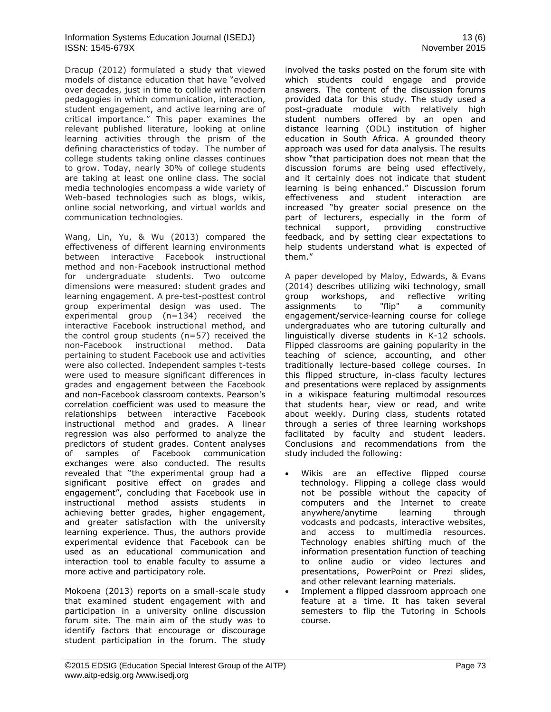Dracup (2012) formulated a study that viewed models of distance education that have "evolved over decades, just in time to collide with modern pedagogies in which communication, interaction, student engagement, and active learning are of critical importance." This paper examines the relevant published literature, looking at online learning activities through the prism of the defining characteristics of today. The number of college students taking online classes continues to grow. Today, nearly 30% of college students are taking at least one online class. The social media technologies encompass a wide variety of Web-based technologies such as blogs, wikis, online social networking, and virtual worlds and communication technologies.

Wang, Lin, Yu, & Wu (2013) compared the effectiveness of different learning environments between interactive Facebook instructional method and non-Facebook instructional method for undergraduate students. Two outcome dimensions were measured: student grades and learning engagement. A pre-test-posttest control group experimental design was used. The experimental group (n=134) received the interactive Facebook instructional method, and the control group students (n=57) received the non-Facebook instructional method. Data pertaining to student Facebook use and activities were also collected. Independent samples t-tests were used to measure significant differences in grades and engagement between the Facebook and non-Facebook classroom contexts. Pearson's correlation coefficient was used to measure the relationships between interactive Facebook instructional method and grades. A linear regression was also performed to analyze the predictors of student grades. Content analyses of samples of Facebook communication exchanges were also conducted. The results revealed that "the experimental group had a significant positive effect on grades and engagement", concluding that Facebook use in instructional method assists students in achieving better grades, higher engagement, and greater satisfaction with the university learning experience. Thus, the authors provide experimental evidence that Facebook can be used as an educational communication and interaction tool to enable faculty to assume a more active and participatory role.

Mokoena (2013) reports on a small-scale study that examined student engagement with and participation in a university online discussion forum site. The main aim of the study was to identify factors that encourage or discourage student participation in the forum. The study involved the tasks posted on the forum site with which students could engage and provide answers. The content of the discussion forums provided data for this study. The study used a post-graduate module with relatively high student numbers offered by an open and distance learning (ODL) institution of higher education in South Africa. A grounded theory approach was used for data analysis. The results show "that participation does not mean that the discussion forums are being used effectively, and it certainly does not indicate that student learning is being enhanced." Discussion forum effectiveness and student interaction are increased "by greater social presence on the part of lecturers, especially in the form of technical support, providing constructive feedback, and by setting clear expectations to help students understand what is expected of them."

A paper developed by Maloy, Edwards, & Evans (2014) describes utilizing wiki technology, small group workshops, and reflective writing assignments to "flip" a community engagement/service-learning course for college undergraduates who are tutoring culturally and linguistically diverse students in K-12 schools. Flipped classrooms are gaining popularity in the teaching of science, accounting, and other traditionally lecture-based college courses. In this flipped structure, in-class faculty lectures and presentations were replaced by assignments in a wikispace featuring multimodal resources that students hear, view or read, and write about weekly. During class, students rotated through a series of three learning workshops facilitated by faculty and student leaders. Conclusions and recommendations from the study included the following:

- Wikis are an effective flipped course technology. Flipping a college class would not be possible without the capacity of computers and the Internet to create anywhere/anytime learning through vodcasts and podcasts, interactive websites, and access to multimedia resources. Technology enables shifting much of the information presentation function of teaching to online audio or video lectures and presentations, PowerPoint or Prezi slides, and other relevant learning materials.
- Implement a flipped classroom approach one feature at a time. It has taken several semesters to flip the Tutoring in Schools course.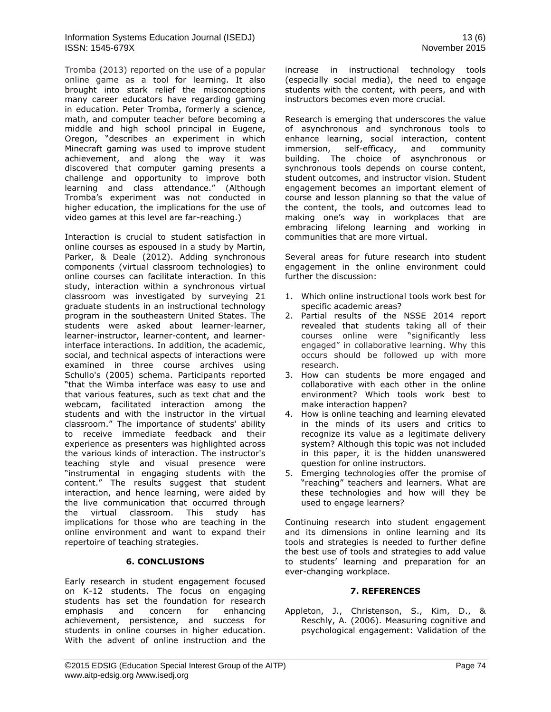Tromba (2013) reported on the use of a popular online game as a tool for learning. It also brought into stark relief the misconceptions many career educators have regarding gaming in education. Peter Tromba, formerly a science, math, and computer teacher before becoming a middle and high school principal in Eugene, Oregon, "describes an experiment in which Minecraft gaming was used to improve student achievement, and along the way it was discovered that computer gaming presents a challenge and opportunity to improve both learning and class attendance." (Although Tromba's experiment was not conducted in higher education, the implications for the use of video games at this level are far-reaching.)

Interaction is crucial to student satisfaction in online courses as espoused in a study by Martin, Parker, & Deale (2012). Adding synchronous components (virtual classroom technologies) to online courses can facilitate interaction. In this study, interaction within a synchronous virtual classroom was investigated by surveying 21 graduate students in an instructional technology program in the southeastern United States. The students were asked about learner-learner, learner-instructor, learner-content, and learnerinterface interactions. In addition, the academic, social, and technical aspects of interactions were examined in three course archives using Schullo's (2005) schema. Participants reported "that the Wimba interface was easy to use and that various features, such as text chat and the webcam, facilitated interaction among the students and with the instructor in the virtual classroom." The importance of students' ability to receive immediate feedback and their experience as presenters was highlighted across the various kinds of interaction. The instructor's teaching style and visual presence were "instrumental in engaging students with the content." The results suggest that student interaction, and hence learning, were aided by the live communication that occurred through the virtual classroom. This study has implications for those who are teaching in the online environment and want to expand their repertoire of teaching strategies.

# **6. CONCLUSIONS**

Early research in student engagement focused on K-12 students. The focus on engaging students has set the foundation for research emphasis and concern for enhancing achievement, persistence, and success for students in online courses in higher education. With the advent of online instruction and the

increase in instructional technology tools (especially social media), the need to engage students with the content, with peers, and with instructors becomes even more crucial.

Research is emerging that underscores the value of asynchronous and synchronous tools to enhance learning, social interaction, content immersion, self-efficacy, and community building. The choice of asynchronous or synchronous tools depends on course content, student outcomes, and instructor vision. Student engagement becomes an important element of course and lesson planning so that the value of the content, the tools, and outcomes lead to making one's way in workplaces that are embracing lifelong learning and working in communities that are more virtual.

Several areas for future research into student engagement in the online environment could further the discussion:

- 1. Which online instructional tools work best for specific academic areas?
- 2. Partial results of the NSSE 2014 report revealed that students taking all of their courses online were "significantly less engaged" in collaborative learning. Why this occurs should be followed up with more research.
- 3. How can students be more engaged and collaborative with each other in the online environment? Which tools work best to make interaction happen?
- 4. How is online teaching and learning elevated in the minds of its users and critics to recognize its value as a legitimate delivery system? Although this topic was not included in this paper, it is the hidden unanswered question for online instructors.
- 5. Emerging technologies offer the promise of "reaching" teachers and learners. What are these technologies and how will they be used to engage learners?

Continuing research into student engagement and its dimensions in online learning and its tools and strategies is needed to further define the best use of tools and strategies to add value to students' learning and preparation for an ever-changing workplace.

# **7. REFERENCES**

Appleton, J., Christenson, S., Kim, D., & Reschly, A. (2006). Measuring cognitive and psychological engagement: Validation of the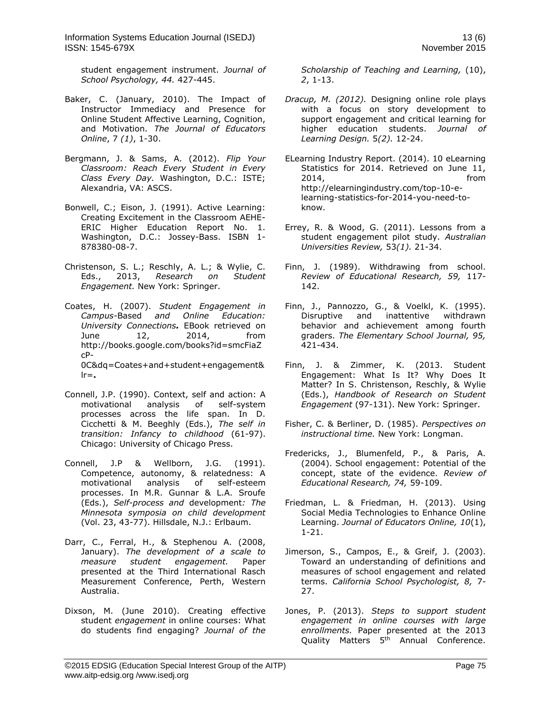student engagement instrument. *Journal of School Psychology, 44.* 427-445.

- Baker, C. (January, 2010). The Impact of Instructor Immediacy and Presence for Online Student Affective Learning, Cognition, and Motivation. *The Journal of Educators Online*, 7 *(1)*, 1-30.
- Bergmann, J. & Sams, A. (2012). *Flip Your Classroom: Reach Every Student in Every Class Every Day.* Washington, D.C.: ISTE; Alexandria, VA: ASCS.
- Bonwell, C.; Eison, J. (1991). Active Learning: Creating Excitement in the Classroom AEHE-ERIC Higher Education Report No. 1. Washington, D.C.: Jossey-Bass. [ISBN](http://en.wikipedia.org/wiki/International_Standard_Book_Number) [1-](http://en.wikipedia.org/wiki/Special:BookSources/1-878380-08-7) [878380-08-7.](http://en.wikipedia.org/wiki/Special:BookSources/1-878380-08-7)
- Christenson, S. L.; Reschly, A. L.; & Wylie, C. Eds., 2013, *Research on Student Engagement.* New York: Springer.
- Coates, H. (2007). *Student Engagement in Campus-*Based *and Online Education: University Connections.* EBook retrieved on June 12, 2014, from [http://books.google.com/books?id=smcFiaZ](http://books.google.com/books?id=smcFiaZcP-0C&dq=Coates+and+student+engagement&lr) [cP-](http://books.google.com/books?id=smcFiaZcP-0C&dq=Coates+and+student+engagement&lr)[0C&dq=Coates+and+student+engagement&](http://books.google.com/books?id=smcFiaZcP-0C&dq=Coates+and+student+engagement&lr) [lr=](http://books.google.com/books?id=smcFiaZcP-0C&dq=Coates+and+student+engagement&lr)**.**
- Connell, J.P. (1990). Context, self and action: A motivational analysis of self-system processes across the life span. In D. Cicchetti & M. Beeghly (Eds.), *The self in transition: Infancy to childhood* (61-97). Chicago: University of Chicago Press.
- Connell, J.P & Wellborn, J.G. (1991). Competence, autonomy, & relatedness: A motivational analysis of self-esteem processes. In M.R. Gunnar & L.A. Sroufe (Eds.), *Self-process and* development*: The Minnesota symposia on child development*  (Vol. 23, 43-77). Hillsdale, N.J.: Erlbaum.
- Darr, C., Ferral, H., & Stephenou A. (2008, January). *The development of a scale to measure student engagement.* Paper presented at the Third International Rasch Measurement Conference, Perth, Western Australia.
- Dixson, M. (June 2010). Creating effective student *engagement* in online courses: What do students find engaging? *Journal of the*

*Scholarship of Teaching and Learning,* (10), *2*, 1-13.

- *Dracup, M. (2012).* Designing online role plays with a focus on story development to support engagement and critical learning for higher education students. *Journal of Learning Design.* 5*(2).* 12-24.
- ELearning Industry Report. (2014). 10 eLearning Statistics for 2014. Retrieved on June 11, 2014, from http://elearningindustry.com/top-10-elearning-statistics-for-2014-you-need-toknow.
- Errey, R. & Wood, G. (2011). Lessons from a student engagement pilot study. *Australian Universities Review,* 53*(1).* 21-34.
- Finn, J. (1989). Withdrawing from school. *Review of Educational Research, 59,* 117- 142.
- Finn, J., Pannozzo, G., & Voelkl, K. (1995). Disruptive and inattentive withdrawn behavior and achievement among fourth graders. *The Elementary School Journal, 95,*  421-434.
- Finn, J. & Zimmer, K. (2013. Student Engagement: What Is It? Why Does It Matter? In S. Christenson, Reschly, & Wylie (Eds.), *Handbook of Research on Student Engagement* (97-131). New York: Springer.
- Fisher, C. & Berliner, D. (1985). *Perspectives on instructional time.* New York: Longman.
- Fredericks, J., Blumenfeld, P., & Paris, A. (2004). School engagement: Potential of the concept, state of the evidence. *Review of Educational Research, 74,* 59-109.
- Friedman, L. & Friedman, H. (2013). Using Social Media Technologies to Enhance Online Learning. *Journal of Educators Online, 10*(1), 1-21.
- Jimerson, S., Campos, E., & Greif, J. (2003). Toward an understanding of definitions and measures of school engagement and related terms. *California School Psychologist, 8,* 7- 27.
- Jones, P. (2013). *Steps to support student engagement in online courses with large enrollments.* Paper presented at the 2013 Quality Matters 5<sup>th</sup> Annual Conference.